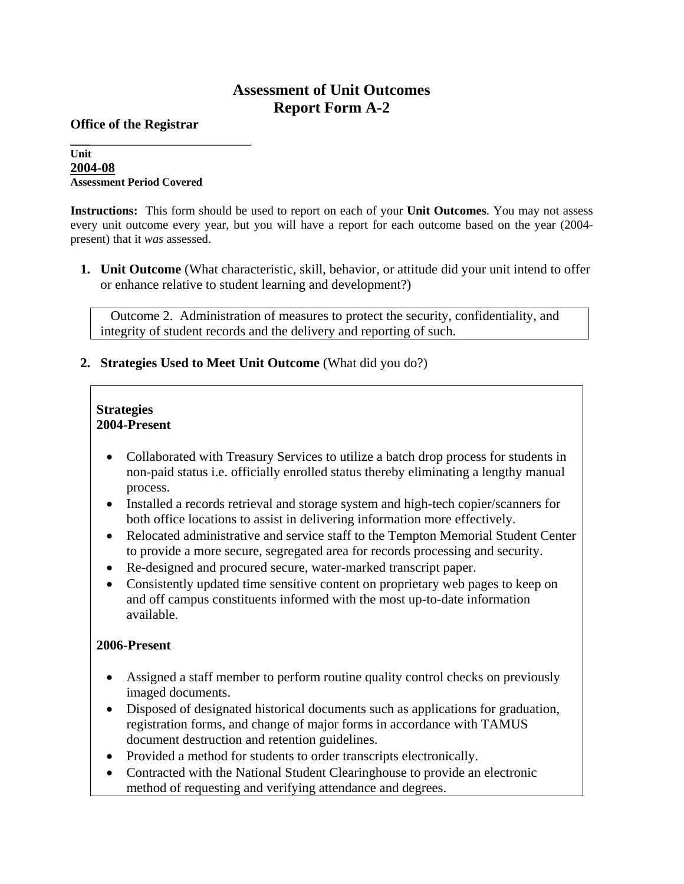# **Assessment of Unit Outcomes Report Form A-2**

**Office of the Registrar** 

#### **\_\_\_**\_\_\_\_\_\_\_\_\_\_\_\_\_\_\_\_\_\_\_\_\_\_\_\_ **Unit 2004-08 Assessment Period Covered**

**Instructions:** This form should be used to report on each of your **Unit Outcomes**. You may not assess every unit outcome every year, but you will have a report for each outcome based on the year (2004 present) that it *was* assessed.

**1. Unit Outcome** (What characteristic, skill, behavior, or attitude did your unit intend to offer or enhance relative to student learning and development?)

 Outcome 2. Administration of measures to protect the security, confidentiality, and integrity of student records and the delivery and reporting of such.

### **2. Strategies Used to Meet Unit Outcome** (What did you do?)

### **Strategies 2004-Present**

- Collaborated with Treasury Services to utilize a batch drop process for students in non-paid status i.e. officially enrolled status thereby eliminating a lengthy manual process.
- Installed a records retrieval and storage system and high-tech copier/scanners for both office locations to assist in delivering information more effectively.
- Relocated administrative and service staff to the Tempton Memorial Student Center to provide a more secure, segregated area for records processing and security.
- Re-designed and procured secure, water-marked transcript paper.
- Consistently updated time sensitive content on proprietary web pages to keep on and off campus constituents informed with the most up-to-date information available.

## **2006-Present**

- Assigned a staff member to perform routine quality control checks on previously imaged documents.
- Disposed of designated historical documents such as applications for graduation, registration forms, and change of major forms in accordance with TAMUS document destruction and retention guidelines.
- Provided a method for students to order transcripts electronically.
- Contracted with the National Student Clearinghouse to provide an electronic method of requesting and verifying attendance and degrees.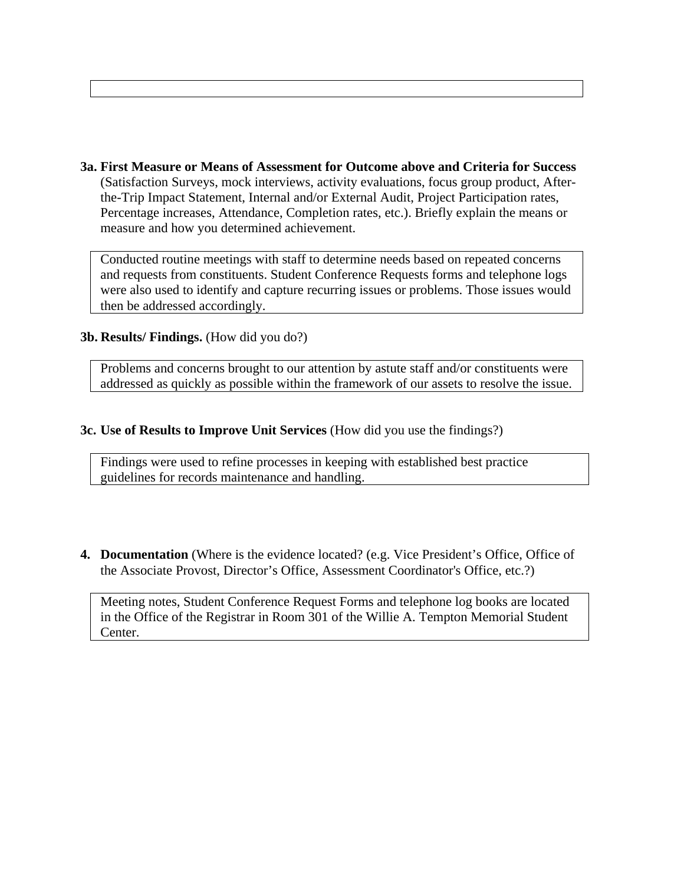**3a. First Measure or Means of Assessment for Outcome above and Criteria for Success** (Satisfaction Surveys, mock interviews, activity evaluations, focus group product, Afterthe-Trip Impact Statement, Internal and/or External Audit, Project Participation rates, Percentage increases, Attendance, Completion rates, etc.). Briefly explain the means or measure and how you determined achievement.

Conducted routine meetings with staff to determine needs based on repeated concerns and requests from constituents. Student Conference Requests forms and telephone logs were also used to identify and capture recurring issues or problems. Those issues would then be addressed accordingly.

### **3b. Results/ Findings.** (How did you do?)

Problems and concerns brought to our attention by astute staff and/or constituents were addressed as quickly as possible within the framework of our assets to resolve the issue.

### **3c. Use of Results to Improve Unit Services** (How did you use the findings?)

Findings were used to refine processes in keeping with established best practice guidelines for records maintenance and handling.

**4. Documentation** (Where is the evidence located? (e.g. Vice President's Office, Office of the Associate Provost, Director's Office, Assessment Coordinator's Office, etc.?)

Meeting notes, Student Conference Request Forms and telephone log books are located in the Office of the Registrar in Room 301 of the Willie A. Tempton Memorial Student Center.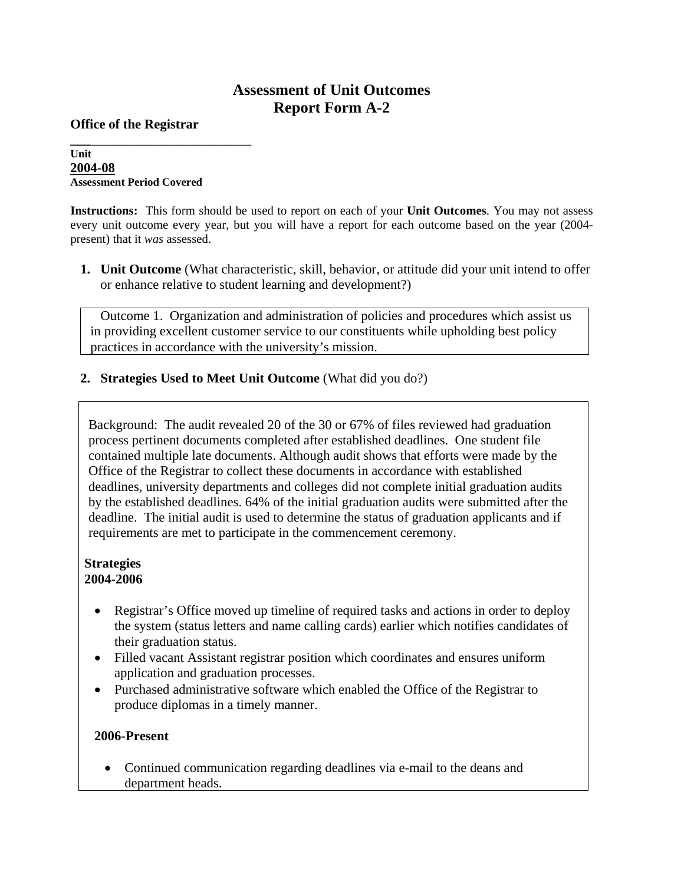# **Assessment of Unit Outcomes Report Form A-2**

**Office of the Registrar** 

#### **\_\_\_**\_\_\_\_\_\_\_\_\_\_\_\_\_\_\_\_\_\_\_\_\_\_\_\_ **Unit 2004-08 Assessment Period Covered**

**Instructions:** This form should be used to report on each of your **Unit Outcomes**. You may not assess every unit outcome every year, but you will have a report for each outcome based on the year (2004 present) that it *was* assessed.

**1. Unit Outcome** (What characteristic, skill, behavior, or attitude did your unit intend to offer or enhance relative to student learning and development?)

 Outcome 1. Organization and administration of policies and procedures which assist us in providing excellent customer service to our constituents while upholding best policy practices in accordance with the university's mission.

**2. Strategies Used to Meet Unit Outcome** (What did you do?)

Background: The audit revealed 20 of the 30 or 67% of files reviewed had graduation process pertinent documents completed after established deadlines. One student file contained multiple late documents. Although audit shows that efforts were made by the Office of the Registrar to collect these documents in accordance with established deadlines, university departments and colleges did not complete initial graduation audits by the established deadlines. 64% of the initial graduation audits were submitted after the deadline. The initial audit is used to determine the status of graduation applicants and if requirements are met to participate in the commencement ceremony.

## **Strategies 2004-2006**

- Registrar's Office moved up timeline of required tasks and actions in order to deploy the system (status letters and name calling cards) earlier which notifies candidates of their graduation status.
- Filled vacant Assistant registrar position which coordinates and ensures uniform application and graduation processes.
- Purchased administrative software which enabled the Office of the Registrar to produce diplomas in a timely manner.

## **2006-Present**

• Continued communication regarding deadlines via e-mail to the deans and department heads.